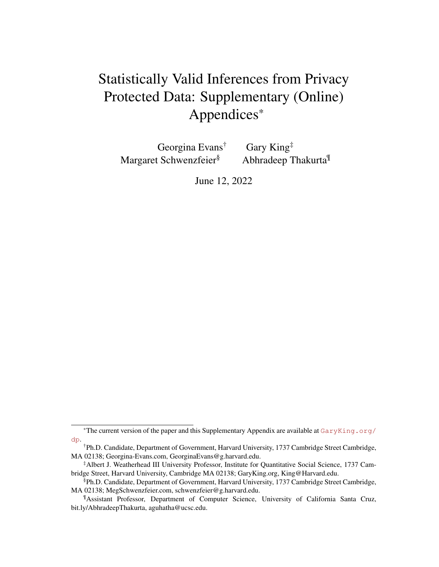# <span id="page-0-0"></span>Statistically Valid Inferences from Privacy Protected Data: Supplementary (Online) Appendices\*

Georgina Evans† Gary King‡ Margaret Schwenzfeier<sup>§</sup> Abhradeep Thakurta<sup>¶</sup>

June 12, 2022

<sup>\*</sup>The current version of the paper and this Supplementary Appendix are available at  $GaryKing$ .org/ [dp](GaryKing.org/dp).

<sup>†</sup>Ph.D. Candidate, Department of Government, Harvard University, 1737 Cambridge Street Cambridge, MA 02138; Georgina-Evans.com, GeorginaEvans@g.harvard.edu.

<sup>‡</sup>Albert J. Weatherhead III University Professor, Institute for Quantitative Social Science, 1737 Cambridge Street, Harvard University, Cambridge MA 02138; GaryKing.org, King@Harvard.edu.

<sup>§</sup>Ph.D. Candidate, Department of Government, Harvard University, 1737 Cambridge Street Cambridge, MA 02138; MegSchwenzfeier.com, schwenzfeier@g.harvard.edu.

<sup>¶</sup>Assistant Professor, Department of Computer Science, University of California Santa Cruz, bit.ly/AbhradeepThakurta, aguhatha@ucsc.edu.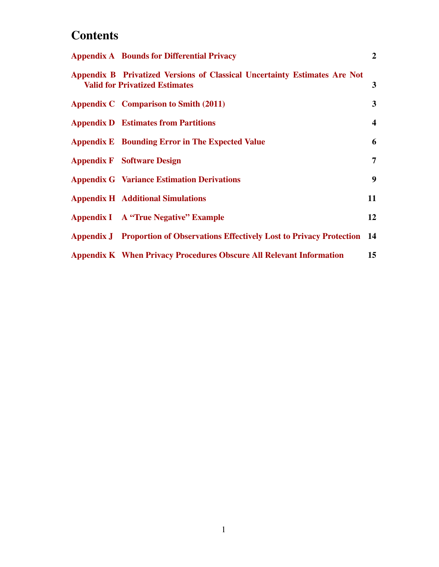# **Contents**

| <b>Appendix A</b> Bounds for Differential Privacy                                                                  | $\overline{2}$          |
|--------------------------------------------------------------------------------------------------------------------|-------------------------|
| Appendix B Privatized Versions of Classical Uncertainty Estimates Are Not<br><b>Valid for Privatized Estimates</b> | $\mathbf{3}$            |
| Appendix C Comparison to Smith (2011)                                                                              | $3^{\circ}$             |
| <b>Appendix D</b> Estimates from Partitions                                                                        | $\overline{\mathbf{4}}$ |
| <b>Appendix E</b> Bounding Error in The Expected Value                                                             | 6                       |
| <b>Appendix F</b> Software Design                                                                                  | 7                       |
| <b>Appendix G</b> Variance Estimation Derivations                                                                  | 9                       |
| <b>Appendix H</b> Additional Simulations                                                                           | 11                      |
| <b>Appendix I</b> A "True Negative" Example                                                                        | 12                      |
| <b>Appendix J</b> Proportion of Observations Effectively Lost to Privacy Protection 14                             |                         |
| <b>Appendix K When Privacy Procedures Obscure All Relevant Information</b>                                         | 15                      |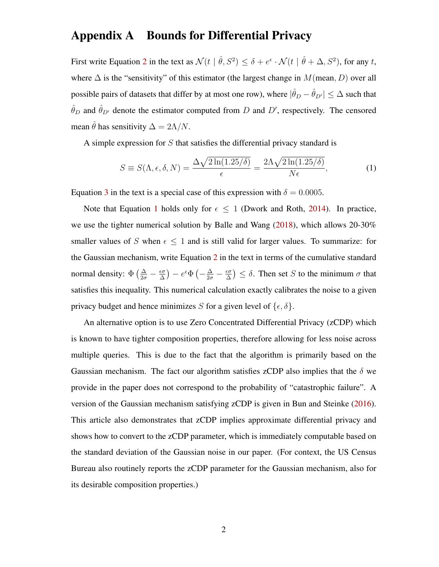#### <span id="page-2-0"></span>Appendix A Bounds for Differential Privacy

First write Equation [2](#page-0-0) in the text as  $\mathcal{N}(t | \hat{\theta}, S^2) \le \delta + e^{\epsilon} \cdot \mathcal{N}(t | \hat{\theta} + \Delta, S^2)$ , for any t, where  $\Delta$  is the "sensitivity" of this estimator (the largest change in  $M$ (mean, D) over all possible pairs of datasets that differ by at most one row), where  $|\hat{\theta}_D - \hat{\theta}_{D'}| \leq \Delta$  such that  $\hat{\theta}_D$  and  $\hat{\theta}_{D'}$  denote the estimator computed from D and D', respectively. The censored mean  $\hat{\theta}$  has sensitivity  $\Delta = 2\Lambda/N$ .

A simple expression for S that satisfies the differential privacy standard is

<span id="page-2-1"></span>
$$
S \equiv S(\Lambda, \epsilon, \delta, N) = \frac{\Delta \sqrt{2 \ln(1.25/\delta)}}{\epsilon} = \frac{2\Lambda \sqrt{2 \ln(1.25/\delta)}}{N \epsilon},
$$
(1)

Equation [3](#page-0-0) in the text is a special case of this expression with  $\delta = 0.0005$ .

Note that Equation [1](#page-2-1) holds only for  $\epsilon \leq 1$  (Dwork and Roth, [2014\)](#page-18-0). In practice, we use the tighter numerical solution by Balle and Wang [\(2018\)](#page-18-1), which allows 20-30% smaller values of S when  $\epsilon \leq 1$  and is still valid for larger values. To summarize: for the Gaussian mechanism, write Equation [2](#page-0-0) in the text in terms of the cumulative standard normal density:  $\Phi\left(\frac{\Delta}{2\sigma} - \frac{\epsilon \sigma}{\Delta}\right)$  $\frac{\epsilon \sigma}{\Delta}$ ) —  $e^{\epsilon} \Phi \left( -\frac{\Delta}{2\sigma} - \frac{\epsilon \sigma}{\Delta} \right)$  $\left(\frac{\epsilon \sigma}{\Delta}\right) \leq \delta$ . Then set S to the minimum  $\sigma$  that satisfies this inequality. This numerical calculation exactly calibrates the noise to a given privacy budget and hence minimizes S for a given level of  $\{\epsilon, \delta\}.$ 

An alternative option is to use Zero Concentrated Differential Privacy (zCDP) which is known to have tighter composition properties, therefore allowing for less noise across multiple queries. This is due to the fact that the algorithm is primarily based on the Gaussian mechanism. The fact our algorithm satisfies zCDP also implies that the  $\delta$  we provide in the paper does not correspond to the probability of "catastrophic failure". A version of the Gaussian mechanism satisfying zCDP is given in Bun and Steinke [\(2016\)](#page-18-2). This article also demonstrates that zCDP implies approximate differential privacy and shows how to convert to the zCDP parameter, which is immediately computable based on the standard deviation of the Gaussian noise in our paper. (For context, the US Census Bureau also routinely reports the zCDP parameter for the Gaussian mechanism, also for its desirable composition properties.)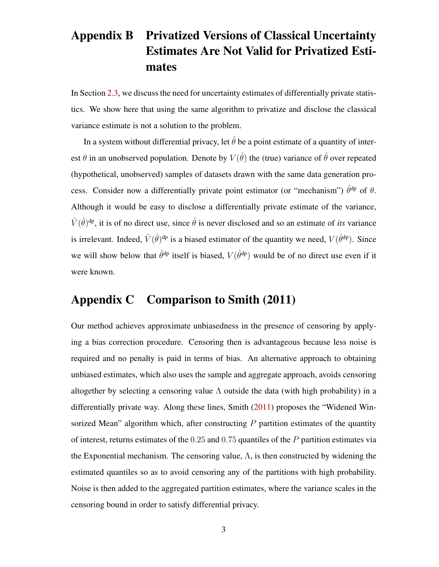# <span id="page-3-0"></span>Appendix B Privatized Versions of Classical Uncertainty Estimates Are Not Valid for Privatized Estimates

In Section [2.3,](#page-0-0) we discuss the need for uncertainty estimates of differentially private statistics. We show here that using the same algorithm to privatize and disclose the classical variance estimate is not a solution to the problem.

In a system without differential privacy, let  $\hat{\theta}$  be a point estimate of a quantity of interest  $\theta$  in an unobserved population. Denote by  $V(\hat{\theta})$  the (true) variance of  $\hat{\theta}$  over repeated (hypothetical, unobserved) samples of datasets drawn with the same data generation process. Consider now a differentially private point estimator (or "mechanism")  $\hat{\theta}^{dp}$  of  $\theta$ . Although it would be easy to disclose a differentially private estimate of the variance,  $\hat{V}(\hat{\theta})^{\text{dp}}$ , it is of no direct use, since  $\hat{\theta}$  is never disclosed and so an estimate of *its* variance is irrelevant. Indeed,  $\hat{V}(\hat{\theta})^{\text{dp}}$  is a biased estimator of the quantity we need,  $V(\hat{\theta}^{\text{dp}})$ . Since we will show below that  $\hat{\theta}^{dp}$  itself is biased,  $V(\hat{\theta}^{dp})$  would be of no direct use even if it were known.

#### <span id="page-3-1"></span>Appendix C Comparison to Smith (2011)

Our method achieves approximate unbiasedness in the presence of censoring by applying a bias correction procedure. Censoring then is advantageous because less noise is required and no penalty is paid in terms of bias. An alternative approach to obtaining unbiased estimates, which also uses the sample and aggregate approach, avoids censoring altogether by selecting a censoring value  $\Lambda$  outside the data (with high probability) in a differentially private way. Along these lines, Smith [\(2011\)](#page-18-3) proposes the "Widened Winsorized Mean" algorithm which, after constructing  $P$  partition estimates of the quantity of interest, returns estimates of the 0.25 and 0.75 quantiles of the P partition estimates via the Exponential mechanism. The censoring value,  $\Lambda$ , is then constructed by widening the estimated quantiles so as to avoid censoring any of the partitions with high probability. Noise is then added to the aggregated partition estimates, where the variance scales in the censoring bound in order to satisfy differential privacy.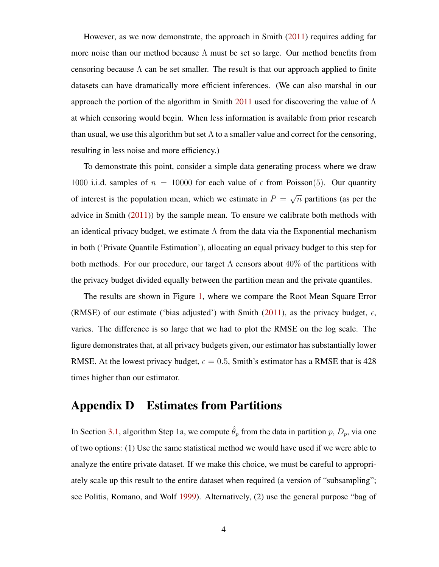However, as we now demonstrate, the approach in Smith [\(2011\)](#page-18-3) requires adding far more noise than our method because  $\Lambda$  must be set so large. Our method benefits from censoring because  $\Lambda$  can be set smaller. The result is that our approach applied to finite datasets can have dramatically more efficient inferences. (We can also marshal in our approach the portion of the algorithm in Smith [2011](#page-18-3) used for discovering the value of  $\Lambda$ at which censoring would begin. When less information is available from prior research than usual, we use this algorithm but set  $\Lambda$  to a smaller value and correct for the censoring, resulting in less noise and more efficiency.)

To demonstrate this point, consider a simple data generating process where we draw 1000 i.i.d. samples of  $n = 10000$  for each value of  $\epsilon$  from Poisson(5). Our quantity of interest is the population mean, which we estimate in  $P =$ √  $\overline{n}$  partitions (as per the advice in Smith [\(2011\)](#page-18-3)) by the sample mean. To ensure we calibrate both methods with an identical privacy budget, we estimate  $\Lambda$  from the data via the Exponential mechanism in both ('Private Quantile Estimation'), allocating an equal privacy budget to this step for both methods. For our procedure, our target  $\Lambda$  censors about  $40\%$  of the partitions with the privacy budget divided equally between the partition mean and the private quantiles.

The results are shown in Figure [1,](#page-5-0) where we compare the Root Mean Square Error (RMSE) of our estimate ('bias adjusted') with Smith [\(2011\)](#page-18-3), as the privacy budget,  $\epsilon$ , varies. The difference is so large that we had to plot the RMSE on the log scale. The figure demonstrates that, at all privacy budgets given, our estimator has substantially lower RMSE. At the lowest privacy budget,  $\epsilon = 0.5$ , Smith's estimator has a RMSE that is 428 times higher than our estimator.

#### <span id="page-4-0"></span>Appendix D Estimates from Partitions

In Section [3.1,](#page-0-0) algorithm Step 1a, we compute  $\hat{\theta}_p$  from the data in partition p,  $D_p$ , via one of two options: (1) Use the same statistical method we would have used if we were able to analyze the entire private dataset. If we make this choice, we must be careful to appropriately scale up this result to the entire dataset when required (a version of "subsampling"; see Politis, Romano, and Wolf [1999\)](#page-18-4). Alternatively, (2) use the general purpose "bag of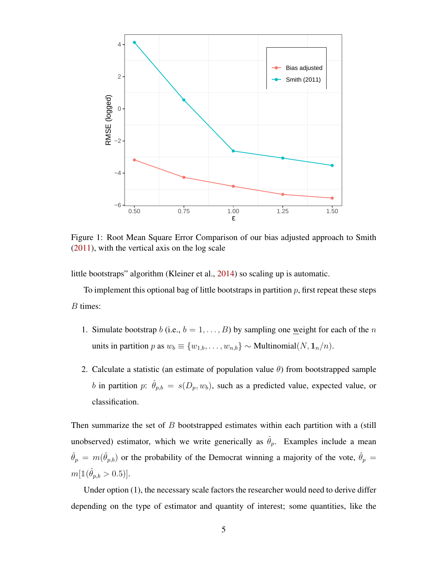<span id="page-5-0"></span>

Figure 1: Root Mean Square Error Comparison of our bias adjusted approach to Smith [\(2011\)](#page-18-3), with the vertical axis on the log scale

little bootstraps" algorithm (Kleiner et al., [2014\)](#page-18-5) so scaling up is automatic.

To implement this optional bag of little bootstraps in partition  $p$ , first repeat these steps B times:

- 1. Simulate bootstrap b (i.e.,  $b = 1, \ldots, B$ ) by sampling one weight for each of the n units in partition p as  $w_b \equiv \{w_{1,b}, \ldots, w_{n,b}\}\sim \text{Multinomial}(N, \mathbf{1}_n/n).$
- 2. Calculate a statistic (an estimate of population value  $\theta$ ) from bootstrapped sample b in partition p:  $\hat{\theta}_{p,b} = s(D_p, w_b)$ , such as a predicted value, expected value, or classification.

Then summarize the set of  $B$  bootstrapped estimates within each partition with a (still unobserved) estimator, which we write generically as  $\hat{\theta}_p$ . Examples include a mean  $\hat{\theta}_p = m(\hat{\theta}_{p,b})$  or the probability of the Democrat winning a majority of the vote,  $\hat{\theta}_p =$  $m[\mathbb{1}(\hat{\theta}_{p,b} > 0.5)].$ 

Under option (1), the necessary scale factors the researcher would need to derive differ depending on the type of estimator and quantity of interest; some quantities, like the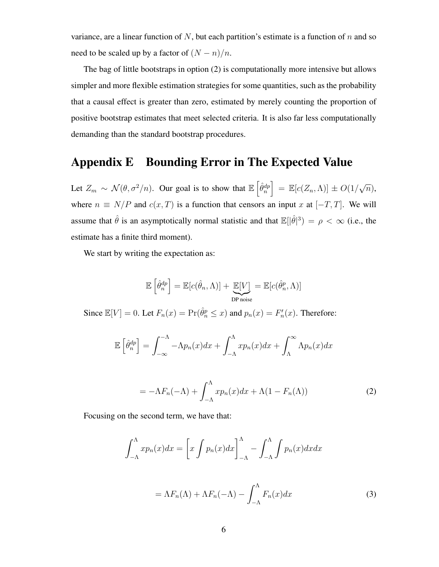variance, are a linear function of  $N$ , but each partition's estimate is a function of  $n$  and so need to be scaled up by a factor of  $(N - n)/n$ .

The bag of little bootstraps in option (2) is computationally more intensive but allows simpler and more flexible estimation strategies for some quantities, such as the probability that a causal effect is greater than zero, estimated by merely counting the proportion of positive bootstrap estimates that meet selected criteria. It is also far less computationally demanding than the standard bootstrap procedures.

#### <span id="page-6-0"></span>Appendix E Bounding Error in The Expected Value

Let  $Z_m \sim \mathcal{N}(\theta, \sigma^2/n)$ . Our goal is to show that  $\mathbb{E} \left[ \hat{\theta}_n^{dp} \right] = \mathbb{E} [c(Z_n, \Lambda)] \pm O(1/\sqrt{2})$  $\overline{n}),$ where  $n \equiv N/P$  and  $c(x,T)$  is a function that censors an input x at  $[-T, T]$ . We will assume that  $\hat{\theta}$  is an asymptotically normal statistic and that  $\mathbb{E}[\hat{\theta}]^3$  =  $\rho < \infty$  (i.e., the estimate has a finite third moment).

We start by writing the expectation as:

$$
\mathbb{E}\left[\hat{\theta}_n^{dp}\right] = \mathbb{E}[c(\hat{\theta}_n, \Lambda)] + \underbrace{\mathbb{E}[V]}_{\text{DP noise}} = \mathbb{E}[c(\hat{\theta}_n^{p}, \Lambda)]
$$

Since  $\mathbb{E}[V] = 0$ . Let  $F_n(x) = \Pr(\hat{\theta}_n^p \leq x)$  and  $p_n(x) = F'_n(x)$ . Therefore:

$$
\mathbb{E}\left[\hat{\theta}_n^{dp}\right] = \int_{-\infty}^{-\Lambda} -\Lambda p_n(x)dx + \int_{-\Lambda}^{\Lambda} x p_n(x)dx + \int_{\Lambda}^{\infty} \Lambda p_n(x)dx
$$

$$
= -\Lambda F_n(-\Lambda) + \int_{-\Lambda}^{\Lambda} x p_n(x) dx + \Lambda (1 - F_n(\Lambda)) \tag{2}
$$

Focusing on the second term, we have that:

$$
\int_{-\Lambda}^{\Lambda} x p_n(x) dx = \left[ x \int p_n(x) dx \right]_{-\Lambda}^{\Lambda} - \int_{-\Lambda}^{\Lambda} \int p_n(x) dx dx
$$

$$
= \Lambda F_n(\Lambda) + \Lambda F_n(-\Lambda) - \int_{-\Lambda}^{\Lambda} F_n(x) dx \tag{3}
$$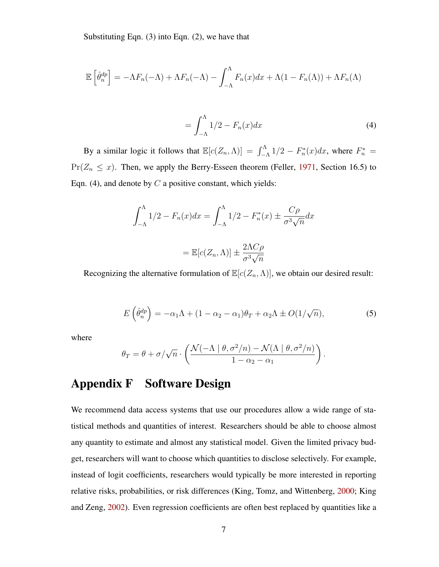Substituting Eqn. (3) into Eqn. (2), we have that

$$
\mathbb{E}\left[\hat{\theta}_n^{dp}\right] = -\Lambda F_n(-\Lambda) + \Lambda F_n(-\Lambda) - \int_{-\Lambda}^{\Lambda} F_n(x)dx + \Lambda(1 - F_n(\Lambda)) + \Lambda F_n(\Lambda)
$$

$$
=\int_{-\Lambda}^{\Lambda} 1/2 - F_n(x) dx \tag{4}
$$

By a similar logic it follows that  $\mathbb{E}[c(Z_n, \Lambda)] = \int_{-\Lambda}^{\Lambda} 1/2 - F_n^*(x) dx$ , where  $F_n^* =$  $Pr(Z_n \leq x)$ . Then, we apply the Berry-Esseen theorem (Feller, [1971,](#page-18-6) Section 16.5) to Eqn. (4), and denote by  $C$  a positive constant, which yields:

$$
\int_{-\Lambda}^{\Lambda} 1/2 - F_n(x) dx = \int_{-\Lambda}^{\Lambda} 1/2 - F_n^*(x) \pm \frac{C\rho}{\sigma^3 \sqrt{n}} dx
$$

$$
= \mathbb{E}[c(Z_n, \Lambda)] \pm \frac{2\Lambda C\rho}{\sigma^3 \sqrt{n}}
$$

Recognizing the alternative formulation of  $\mathbb{E}[c(Z_n,\Lambda)]$ , we obtain our desired result:

$$
E\left(\hat{\theta}_n^{dp}\right) = -\alpha_1 \Lambda + (1 - \alpha_2 - \alpha_1)\theta_T + \alpha_2 \Lambda \pm O(1/\sqrt{n}),\tag{5}
$$

where

$$
\theta_T = \theta + \sigma / \sqrt{n} \cdot \left( \frac{\mathcal{N}(-\Lambda \mid \theta, \sigma^2/n) - \mathcal{N}(\Lambda \mid \theta, \sigma^2/n)}{1 - \alpha_2 - \alpha_1} \right).
$$

#### <span id="page-7-0"></span>Appendix F Software Design

We recommend data access systems that use our procedures allow a wide range of statistical methods and quantities of interest. Researchers should be able to choose almost any quantity to estimate and almost any statistical model. Given the limited privacy budget, researchers will want to choose which quantities to disclose selectively. For example, instead of logit coefficients, researchers would typically be more interested in reporting relative risks, probabilities, or risk differences (King, Tomz, and Wittenberg, [2000;](#page-18-7) King and Zeng, [2002\)](#page-18-8). Even regression coefficients are often best replaced by quantities like a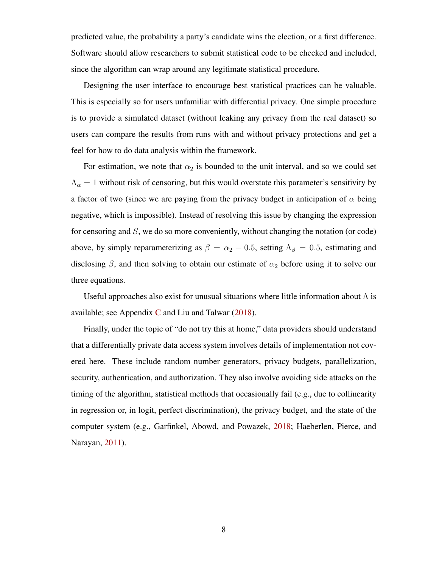predicted value, the probability a party's candidate wins the election, or a first difference. Software should allow researchers to submit statistical code to be checked and included, since the algorithm can wrap around any legitimate statistical procedure.

Designing the user interface to encourage best statistical practices can be valuable. This is especially so for users unfamiliar with differential privacy. One simple procedure is to provide a simulated dataset (without leaking any privacy from the real dataset) so users can compare the results from runs with and without privacy protections and get a feel for how to do data analysis within the framework.

For estimation, we note that  $\alpha_2$  is bounded to the unit interval, and so we could set  $\Lambda_{\alpha} = 1$  without risk of censoring, but this would overstate this parameter's sensitivity by a factor of two (since we are paying from the privacy budget in anticipation of  $\alpha$  being negative, which is impossible). Instead of resolving this issue by changing the expression for censoring and S, we do so more conveniently, without changing the notation (or code) above, by simply reparameterizing as  $\beta = \alpha_2 - 0.5$ , setting  $\Lambda_{\beta} = 0.5$ , estimating and disclosing  $\beta$ , and then solving to obtain our estimate of  $\alpha_2$  before using it to solve our three equations.

Useful approaches also exist for unusual situations where little information about  $\Lambda$  is available; see Appendix [C](#page-3-1) and Liu and Talwar  $(2018)$ .

Finally, under the topic of "do not try this at home," data providers should understand that a differentially private data access system involves details of implementation not covered here. These include random number generators, privacy budgets, parallelization, security, authentication, and authorization. They also involve avoiding side attacks on the timing of the algorithm, statistical methods that occasionally fail (e.g., due to collinearity in regression or, in logit, perfect discrimination), the privacy budget, and the state of the computer system (e.g., Garfinkel, Abowd, and Powazek, [2018;](#page-18-10) Haeberlen, Pierce, and Narayan, [2011\)](#page-18-11).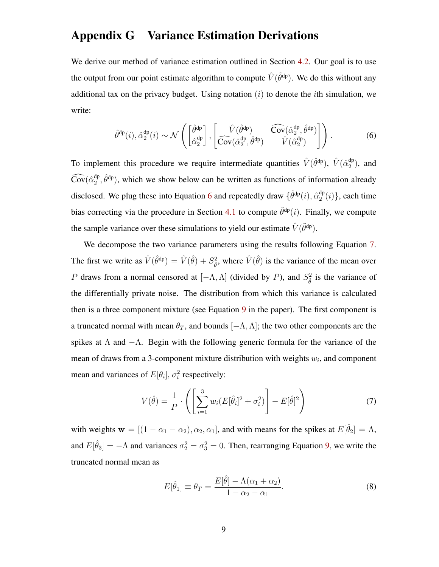#### <span id="page-9-0"></span>Appendix G Variance Estimation Derivations

We derive our method of variance estimation outlined in Section [4.2.](#page-0-0) Our goal is to use the output from our point estimate algorithm to compute  $\hat{V}(\tilde{\theta}^{dp})$ . We do this without any additional tax on the privacy budget. Using notation  $(i)$  to denote the *i*th simulation, we write:

<span id="page-9-1"></span>
$$
\hat{\theta}^{\mathrm{dp}}(i), \hat{\alpha}_2^{\mathrm{dp}}(i) \sim \mathcal{N}\left(\begin{bmatrix} \hat{\theta}^{\mathrm{dp}} \\ \hat{\alpha}_2^{\mathrm{dp}} \end{bmatrix}, \begin{bmatrix} \hat{V}(\hat{\theta}^{\mathrm{dp}}) & \widehat{\mathrm{Cov}}(\hat{\alpha}_2^{\mathrm{dp}}, \hat{\theta}^{\mathrm{dp}}) \\ \widehat{\mathrm{Cov}}(\hat{\alpha}_2^{\mathrm{dp}}, \hat{\theta}^{\mathrm{dp}}) & \widehat{V}(\hat{\alpha}_2^{\mathrm{dp}}) \end{bmatrix}\right).
$$
(6)

To implement this procedure we require intermediate quantities  $\hat{V}(\hat{\theta}^{\text{dp}})$ ,  $\hat{V}(\hat{\alpha}_2^{\text{dp}})$  $_2^{\text{ap}}$ ), and  $\widehat{\mathrm{Cov}}(\hat{\alpha}_2^{\mathrm{dp}})$  $\hat{\theta}_2^{\text{dp}}$ , which we show below can be written as functions of information already disclosed. We plug these into Equation [6](#page-9-1) and repeatedly draw  $\{\hat{\theta}^{\text{dp}}(i), \hat{\alpha}^{\text{dp}}_2\}$  $_2^{\text{dp}}(i)$ , each time bias correcting via the procedure in Section [4.1](#page-0-0) to compute  $\tilde{\theta}^{dp}(i)$ . Finally, we compute the sample variance over these simulations to yield our estimate  $\hat{V}(\tilde{\theta}^{\text{dp}})$ .

We decompose the two variance parameters using the results following Equation [7.](#page-0-0) The first we write as  $\hat{V}(\hat{\theta}^{dp}) = \hat{V}(\hat{\theta}) + S_{\hat{\theta}}^2$ , where  $\hat{V}(\hat{\theta})$  is the variance of the mean over P draws from a normal censored at  $[-\Lambda, \Lambda]$  (divided by P), and  $S^2_{\hat{\theta}}$  is the variance of the differentially private noise. The distribution from which this variance is calculated then is a three component mixture (see Equation [9](#page-0-0) in the paper). The first component is a truncated normal with mean  $\theta_T$ , and bounds  $[-\Lambda, \Lambda]$ ; the two other components are the spikes at  $\Lambda$  and  $-\Lambda$ . Begin with the following generic formula for the variance of the mean of draws from a 3-component mixture distribution with weights  $w_i$ , and component mean and variances of  $E[\theta_i]$ ,  $\sigma_i^2$  respectively:

$$
V(\hat{\theta}) = \frac{1}{P} \cdot \left( \left[ \sum_{i=1}^{3} w_i (E[\hat{\theta}_i]^2 + \sigma_i^2) \right] - E[\hat{\theta}]^2 \right)
$$
 (7)

with weights  $w = [(1 - \alpha_1 - \alpha_2), \alpha_2, \alpha_1]$ , and with means for the spikes at  $E[\hat{\theta}_2] = \Lambda$ , and  $E[\hat{\theta}_3] = -\Lambda$  and variances  $\sigma_2^2 = \sigma_3^2 = 0$ . Then, rearranging Equation [9,](#page-0-0) we write the truncated normal mean as

<span id="page-9-3"></span><span id="page-9-2"></span>
$$
E[\hat{\theta}_1] \equiv \theta_T = \frac{E[\hat{\theta}] - \Lambda(\alpha_1 + \alpha_2)}{1 - \alpha_2 - \alpha_1}.
$$
\n(8)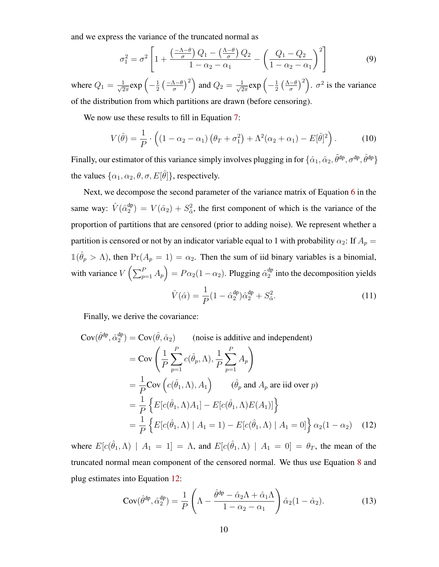and we express the variance of the truncated normal as

$$
\sigma_1^2 = \sigma^2 \left[ 1 + \frac{\left(\frac{-\Lambda - \theta}{\sigma}\right)Q_1 - \left(\frac{\Lambda - \theta}{\sigma}\right)Q_2}{1 - \alpha_2 - \alpha_1} - \left(\frac{Q_1 - Q_2}{1 - \alpha_2 - \alpha_1}\right)^2 \right] \tag{9}
$$

where  $Q_1 = \frac{1}{\sqrt{2}}$  $\frac{1}{2\pi}$ exp  $\left(-\frac{1}{2}\right)$  $rac{1}{2}$   $\left(\frac{-\Lambda-\theta}{\sigma}\right)$  $\left(\frac{\Lambda-\theta}{\sigma}\right)^2$  and  $Q_2=\frac{1}{\sqrt{2}}$  $\frac{1}{2\pi}$ exp  $\left(-\frac{1}{2}\right)$  $rac{1}{2}(\frac{\Lambda-\theta}{\sigma})$  $\left(\frac{-\theta}{\sigma}\right)^2$ .  $\sigma^2$  is the variance of the distribution from which partitions are drawn (before censoring).

We now use these results to fill in Equation [7:](#page-9-2)

$$
V(\hat{\theta}) = \frac{1}{P} \cdot \left( \left(1 - \alpha_2 - \alpha_1\right) \left(\theta_T + \sigma_1^2\right) + \Lambda^2 (\alpha_2 + \alpha_1) - E[\hat{\theta}]^2 \right). \tag{10}
$$

Finally, our estimator of this variance simply involves plugging in for  $\{\hat\alpha_1,\hat\alpha_2,\tilde\theta^{\rm dp},\sigma^{\rm dp},\hat\theta^{\rm dp}\}$ the values  $\{\alpha_1, \alpha_2, \theta, \sigma, E[\hat{\theta}]\}$ , respectively.

Next, we decompose the second parameter of the variance matrix of Equation [6](#page-9-1) in the same way:  $\hat{V}(\hat{\alpha}_2^{\text{dp}})$  $\binom{dp}{2}$  =  $V(\hat{\alpha}_2) + S^2_{\hat{\alpha}}$ , the first component of which is the variance of the proportion of partitions that are censored (prior to adding noise). We represent whether a partition is censored or not by an indicator variable equal to 1 with probability  $\alpha_2$ : If  $A_p =$  $\mathbb{1}(\hat{\theta}_p > \Lambda)$ , then  $\Pr(A_p = 1) = \alpha_2$ . Then the sum of iid binary variables is a binomial, with variance  $V\left(\sum_{p=1}^{P} A_p\right) = P\alpha_2(1-\alpha_2)$ . Plugging  $\hat{\alpha}_2^{\text{dp}}$  $_2^{\text{up}}$  into the decomposition yields

<span id="page-10-0"></span>
$$
\hat{V}(\hat{\alpha}) = \frac{1}{P} (1 - \hat{\alpha}_2^{\text{dp}}) \hat{\alpha}_2^{\text{dp}} + S_{\hat{\alpha}}^2.
$$
\n(11)

Finally, we derive the covariance:

$$
Cov(\hat{\theta}^{dp}, \hat{\alpha}_2^{dp}) = Cov(\hat{\theta}, \hat{\alpha}_2)
$$
 (noise is additive and independent)  
\n
$$
= Cov\left(\frac{1}{P} \sum_{p=1}^P c(\hat{\theta}_p, \Lambda), \frac{1}{P} \sum_{p=1}^P A_p\right)
$$
\n
$$
= \frac{1}{P} Cov\left(c(\hat{\theta}_1, \Lambda), A_1\right) \qquad (\hat{\theta}_p \text{ and } A_p \text{ are iid over } p)
$$
\n
$$
= \frac{1}{P} \left\{ E[c(\hat{\theta}_1, \Lambda)A_1] - E[c(\hat{\theta}_1, \Lambda)E(A_1)] \right\}
$$
\n
$$
= \frac{1}{P} \left\{ E[c(\hat{\theta}_1, \Lambda) | A_1 = 1) - E[c(\hat{\theta}_1, \Lambda) | A_1 = 0] \right\} \alpha_2 (1 - \alpha_2) \qquad (12)
$$

where  $E[c(\hat{\theta}_1, \Lambda) | A_1 = 1] = \Lambda$ , and  $E[c(\hat{\theta}_1, \Lambda) | A_1 = 0] = \theta_T$ , the mean of the truncated normal mean component of the censored normal. We thus use Equation [8](#page-9-3) and plug estimates into Equation [12:](#page-10-0)

$$
Cov(\hat{\theta}^{dp}, \hat{\alpha}_2^{dp}) = \frac{1}{P} \left( \Lambda - \frac{\hat{\theta}^{dp} - \hat{\alpha}_2 \Lambda + \hat{\alpha}_1 \Lambda}{1 - \alpha_2 - \alpha_1} \right) \hat{\alpha}_2 (1 - \hat{\alpha}_2).
$$
 (13)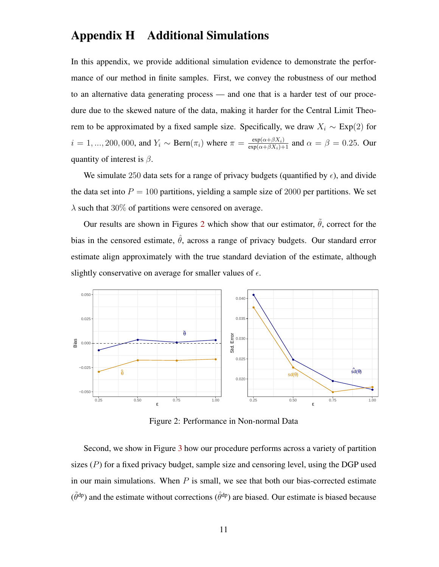#### <span id="page-11-0"></span>Appendix H Additional Simulations

In this appendix, we provide additional simulation evidence to demonstrate the performance of our method in finite samples. First, we convey the robustness of our method to an alternative data generating process — and one that is a harder test of our procedure due to the skewed nature of the data, making it harder for the Central Limit Theorem to be approximated by a fixed sample size. Specifically, we draw  $X_i \sim \text{Exp}(2)$  for  $i = 1, ..., 200, 000$ , and  $Y_i \sim \text{Bern}(\pi_i)$  where  $\pi = \frac{\exp(\alpha + \beta X_i)}{\exp(\alpha + \beta X_i) + 1}$  and  $\alpha = \beta = 0.25$ . Our quantity of interest is  $\beta$ .

We simulate 250 data sets for a range of privacy budgets (quantified by  $\epsilon$ ), and divide the data set into  $P = 100$  partitions, yielding a sample size of 2000 per partitions. We set  $\lambda$  such that 30% of partitions were censored on average.

Our results are shown in Figures [2](#page-11-1) which show that our estimator,  $\tilde{\theta}$ , correct for the bias in the censored estimate,  $\hat{\theta}$ , across a range of privacy budgets. Our standard error estimate align approximately with the true standard deviation of the estimate, although slightly conservative on average for smaller values of  $\epsilon$ .

<span id="page-11-1"></span>

Figure 2: Performance in Non-normal Data

Second, we show in Figure [3](#page-12-1) how our procedure performs across a variety of partition sizes  $(P)$  for a fixed privacy budget, sample size and censoring level, using the DGP used in our main simulations. When  $P$  is small, we see that both our bias-corrected estimate  $(\tilde{\theta}^{dp})$  and the estimate without corrections  $(\hat{\theta}^{dp})$  are biased. Our estimate is biased because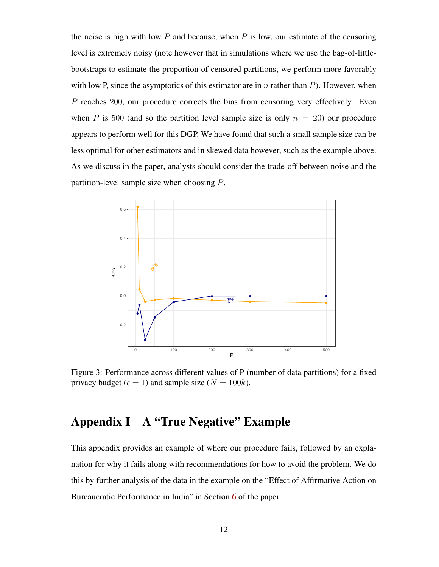the noise is high with low  $P$  and because, when  $P$  is low, our estimate of the censoring level is extremely noisy (note however that in simulations where we use the bag-of-littlebootstraps to estimate the proportion of censored partitions, we perform more favorably with low P, since the asymptotics of this estimator are in n rather than  $P$ ). However, when P reaches 200, our procedure corrects the bias from censoring very effectively. Even when P is 500 (and so the partition level sample size is only  $n = 20$ ) our procedure appears to perform well for this DGP. We have found that such a small sample size can be less optimal for other estimators and in skewed data however, such as the example above. As we discuss in the paper, analysts should consider the trade-off between noise and the partition-level sample size when choosing P.

<span id="page-12-1"></span>

Figure 3: Performance across different values of P (number of data partitions) for a fixed privacy budget ( $\epsilon = 1$ ) and sample size ( $N = 100k$ ).

#### <span id="page-12-0"></span>Appendix I A "True Negative" Example

This appendix provides an example of where our procedure fails, followed by an explanation for why it fails along with recommendations for how to avoid the problem. We do this by further analysis of the data in the example on the "Effect of Affirmative Action on Bureaucratic Performance in India" in Section [6](#page-0-0) of the paper.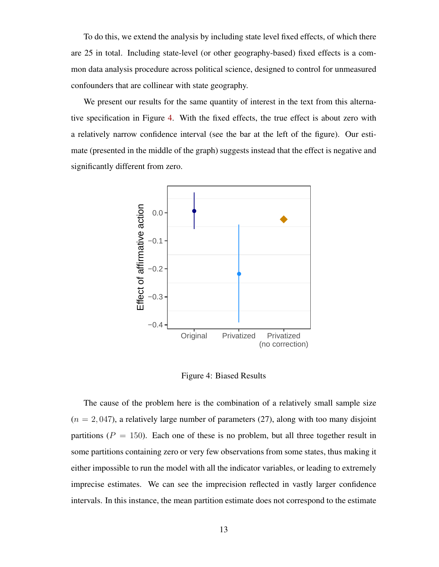To do this, we extend the analysis by including state level fixed effects, of which there are 25 in total. Including state-level (or other geography-based) fixed effects is a common data analysis procedure across political science, designed to control for unmeasured confounders that are collinear with state geography.

We present our results for the same quantity of interest in the text from this alternative specification in Figure [4.](#page-13-0) With the fixed effects, the true effect is about zero with a relatively narrow confidence interval (see the bar at the left of the figure). Our estimate (presented in the middle of the graph) suggests instead that the effect is negative and significantly different from zero.

<span id="page-13-0"></span>

Figure 4: Biased Results

The cause of the problem here is the combination of a relatively small sample size  $(n = 2, 047)$ , a relatively large number of parameters (27), along with too many disjoint partitions ( $P = 150$ ). Each one of these is no problem, but all three together result in some partitions containing zero or very few observations from some states, thus making it either impossible to run the model with all the indicator variables, or leading to extremely imprecise estimates. We can see the imprecision reflected in vastly larger confidence intervals. In this instance, the mean partition estimate does not correspond to the estimate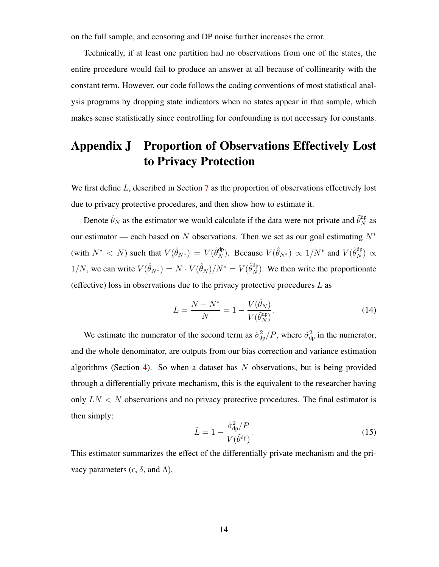on the full sample, and censoring and DP noise further increases the error.

Technically, if at least one partition had no observations from one of the states, the entire procedure would fail to produce an answer at all because of collinearity with the constant term. However, our code follows the coding conventions of most statistical analysis programs by dropping state indicators when no states appear in that sample, which makes sense statistically since controlling for confounding is not necessary for constants.

### <span id="page-14-0"></span>Appendix J Proportion of Observations Effectively Lost to Privacy Protection

We first define L, described in Section [7](#page-0-0) as the proportion of observations effectively lost due to privacy protective procedures, and then show how to estimate it.

Denote  $\hat{\theta}_N$  as the estimator we would calculate if the data were not private and  $\tilde{\theta}_N^{\text{dp}}$  as our estimator — each based on N observations. Then we set as our goal estimating  $N^*$ (with  $N^* < N$ ) such that  $V(\hat{\theta}_{N^*}) = V(\tilde{\theta}_N^{\text{dp}})$ . Because  $V(\hat{\theta}_{N^*}) \propto 1/N^*$  and  $V(\tilde{\theta}_N^{\text{dp}}) \propto$ 1/N, we can write  $V(\hat{\theta}_{N^*}) = N \cdot V(\hat{\theta}_N)/N^* = V(\tilde{\theta}_N^{\text{dp}})$ . We then write the proportionate (effective) loss in observations due to the privacy protective procedures  $L$  as

$$
L = \frac{N - N^*}{N} = 1 - \frac{V(\hat{\theta}_N)}{V(\tilde{\theta}_N^{\text{dp}})}.
$$
 (14)

We estimate the numerator of the second term as  $\hat{\sigma}_{dp}^2/P$ , where  $\hat{\sigma}_{dp}^2$  in the numerator, and the whole denominator, are outputs from our bias correction and variance estimation algorithms (Section [4\)](#page-0-0). So when a dataset has  $N$  observations, but is being provided through a differentially private mechanism, this is the equivalent to the researcher having only  $LN < N$  observations and no privacy protective procedures. The final estimator is then simply:

$$
\hat{L} = 1 - \frac{\hat{\sigma}_{\text{dp}}^2 / P}{V(\tilde{\theta}^{\text{dp}})}.
$$
\n(15)

This estimator summarizes the effect of the differentially private mechanism and the privacy parameters ( $\epsilon$ ,  $\delta$ , and  $\Lambda$ ).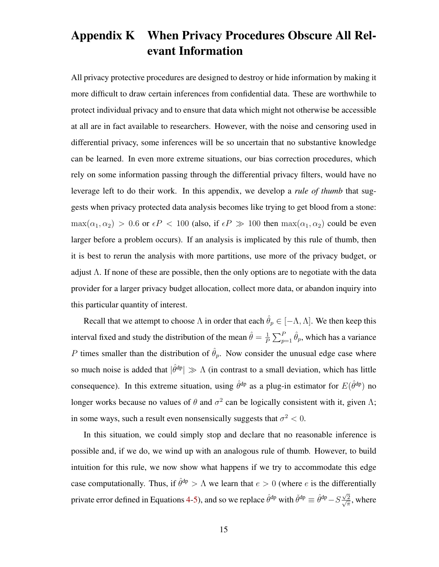## <span id="page-15-0"></span>Appendix K When Privacy Procedures Obscure All Relevant Information

All privacy protective procedures are designed to destroy or hide information by making it more difficult to draw certain inferences from confidential data. These are worthwhile to protect individual privacy and to ensure that data which might not otherwise be accessible at all are in fact available to researchers. However, with the noise and censoring used in differential privacy, some inferences will be so uncertain that no substantive knowledge can be learned. In even more extreme situations, our bias correction procedures, which rely on some information passing through the differential privacy filters, would have no leverage left to do their work. In this appendix, we develop a *rule of thumb* that suggests when privacy protected data analysis becomes like trying to get blood from a stone:  $\max(\alpha_1, \alpha_2) > 0.6$  or  $\epsilon P < 100$  (also, if  $\epsilon P \gg 100$  then  $\max(\alpha_1, \alpha_2)$  could be even larger before a problem occurs). If an analysis is implicated by this rule of thumb, then it is best to rerun the analysis with more partitions, use more of the privacy budget, or adjust  $\Lambda$ . If none of these are possible, then the only options are to negotiate with the data provider for a larger privacy budget allocation, collect more data, or abandon inquiry into this particular quantity of interest.

Recall that we attempt to choose  $\Lambda$  in order that each  $\hat{\theta}_p \in [-\Lambda, \Lambda]$ . We then keep this interval fixed and study the distribution of the mean  $\hat{\theta} = \frac{1}{R}$  $\frac{1}{P} \sum_{p=1}^{P} \hat{\theta}_p$ , which has a variance P times smaller than the distribution of  $\hat{\theta}_p$ . Now consider the unusual edge case where so much noise is added that  $|\hat{\theta}^{dp}| \gg \Lambda$  (in contrast to a small deviation, which has little consequence). In this extreme situation, using  $\hat{\theta}^{dp}$  as a plug-in estimator for  $E(\hat{\theta}^{dp})$  no longer works because no values of  $\theta$  and  $\sigma^2$  can be logically consistent with it, given  $\Lambda$ ; in some ways, such a result even nonsensically suggests that  $\sigma^2 < 0$ .

In this situation, we could simply stop and declare that no reasonable inference is possible and, if we do, we wind up with an analogous rule of thumb. However, to build intuition for this rule, we now show what happens if we try to accommodate this edge case computationally. Thus, if  $\hat{\theta}^{dp} > \Lambda$  we learn that  $e > 0$  (where e is the differentially private error defined in Equations [4-5\)](#page-0-0), and so we replace  $\hat{\theta}^{dp}$  with  $\check{\theta}^{dp} \equiv \hat{\theta}^{dp} - S \frac{\sqrt{2}}{2}$  $\frac{\sqrt{2}}{2}$  $\frac{2}{\pi}$ , where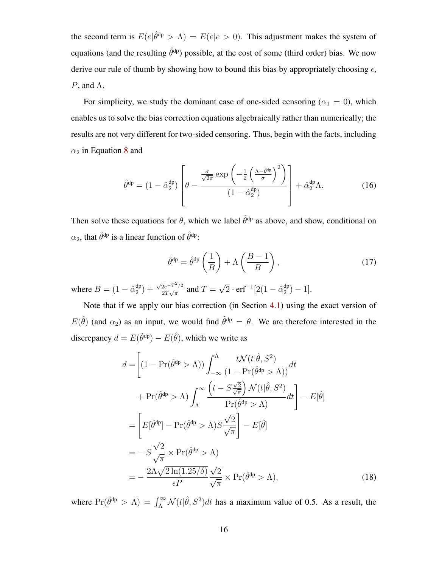the second term is  $E(e|\hat{\theta}^{dp} > \Lambda) = E(e|e > 0)$ . This adjustment makes the system of equations (and the resulting  $\tilde{\theta}^{dp}$ ) possible, at the cost of some (third order) bias. We now derive our rule of thumb by showing how to bound this bias by appropriately choosing  $\epsilon$ ,  $P$ , and  $\Lambda$ .

For simplicity, we study the dominant case of one-sided censoring ( $\alpha_1 = 0$ ), which enables us to solve the bias correction equations algebraically rather than numerically; the results are not very different for two-sided censoring. Thus, begin with the facts, including  $\alpha_2$  in Equation [8](#page-0-0) and

$$
\hat{\theta}^{\rm dp} = (1 - \hat{\alpha}_2^{\rm dp}) \left[ \theta - \frac{\frac{\sigma}{\sqrt{2\pi}} \exp\left(-\frac{1}{2} \left(\frac{\Lambda - \hat{\theta}^{\rm dp}}{\sigma}\right)^2\right)}{(1 - \hat{\alpha}_2^{\rm dp})}\right] + \hat{\alpha}_2^{\rm dp} \Lambda. \tag{16}
$$

Then solve these equations for  $\theta$ , which we label  $\tilde{\theta}^{dp}$  as above, and show, conditional on  $\alpha_2$ , that  $\tilde{\theta}^{dp}$  is a linear function of  $\hat{\theta}^{dp}$ :

<span id="page-16-0"></span>
$$
\tilde{\theta}^{\rm dp} = \hat{\theta}^{\rm dp} \left( \frac{1}{B} \right) + \Lambda \left( \frac{B - 1}{B} \right),\tag{17}
$$

where  $B = (1 - \hat{\alpha}_2^{\rm dp})$  $_{2}^{ap}$ ) +  $\sqrt{2}e^{-T^2/2}$  $\frac{2e^{-T^2/2}}{2T\sqrt{\pi}}$  and  $T=$ √  $\overline{2} \cdot \text{erf}^{-1} [2(1 - \hat{\alpha}_2^{\text{dp}})]$  $_{2}^{ap}) - 1].$ 

Note that if we apply our bias correction (in Section [4.1\)](#page-0-0) using the exact version of  $E(\hat{\theta})$  (and  $\alpha_2$ ) as an input, we would find  $\tilde{\theta}^{dp} = \theta$ . We are therefore interested in the discrepancy  $d = E(\check{\theta}^{dp}) - E(\hat{\theta})$ , which we write as

$$
d = \left[ (1 - \Pr(\hat{\theta}^{dp} > \Lambda)) \int_{-\infty}^{\Lambda} \frac{t \mathcal{N}(t|\hat{\theta}, S^2)}{(1 - \Pr(\hat{\theta}^{dp} > \Lambda))} dt + \Pr(\hat{\theta}^{dp} > \Lambda) \int_{\Lambda}^{\infty} \frac{\left(t - S \frac{\sqrt{2}}{\sqrt{\pi}}\right) \mathcal{N}(t|\hat{\theta}, S^2)}{\Pr(\hat{\theta}^{dp} > \Lambda)} dt \right] - E[\hat{\theta}]
$$
  

$$
= \left[ E[\hat{\theta}^{dp}] - \Pr(\hat{\theta}^{dp} > \Lambda) S \frac{\sqrt{2}}{\sqrt{\pi}} \right] - E[\hat{\theta}]
$$
  

$$
= - S \frac{\sqrt{2}}{\sqrt{\pi}} \times \Pr(\hat{\theta}^{dp} > \Lambda)
$$
  

$$
= - \frac{2\Lambda \sqrt{2} \ln(1.25/\delta)}{\epsilon P} \frac{\sqrt{2}}{\sqrt{\pi}} \times \Pr(\hat{\theta}^{dp} > \Lambda), \qquad (18)
$$

where  $Pr(\hat{\theta}^{dp} > \Lambda) = \int_{\Lambda}^{\infty} \mathcal{N}(t|\hat{\theta}, S^2) dt$  has a maximum value of 0.5. As a result, the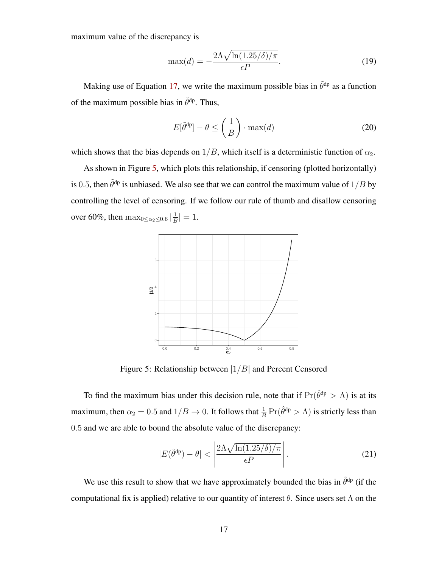maximum value of the discrepancy is

$$
\max(d) = -\frac{2\Lambda\sqrt{\ln(1.25/\delta)/\pi}}{\epsilon P}.
$$
\n(19)

Making use of Equation [17,](#page-16-0) we write the maximum possible bias in  $\tilde{\theta}^{dp}$  as a function of the maximum possible bias in  $\check{\theta}^{dp}$ . Thus,

$$
E[\tilde{\theta}^{\text{dp}}] - \theta \le \left(\frac{1}{B}\right) \cdot \max(d) \tag{20}
$$

which shows that the bias depends on  $1/B$ , which itself is a deterministic function of  $\alpha_2$ .

<span id="page-17-0"></span>As shown in Figure [5,](#page-17-0) which plots this relationship, if censoring (plotted horizontally) is 0.5, then  $\tilde{\theta}^{dp}$  is unbiased. We also see that we can control the maximum value of  $1/B$  by controlling the level of censoring. If we follow our rule of thumb and disallow censoring over 60%, then  $\max_{0 \leq \alpha_2 \leq 0.6} |\frac{1}{B}|$  $\frac{1}{B}$ | = 1.



Figure 5: Relationship between  $|1/B|$  and Percent Censored

To find the maximum bias under this decision rule, note that if  $Pr(\hat{\theta}^{dp} > \Lambda)$  is at its maximum, then  $\alpha_2 = 0.5$  and  $1/B \to 0$ . It follows that  $\frac{1}{B} \Pr(\hat{\theta}^{dp} > \Lambda)$  is strictly less than 0.5 and we are able to bound the absolute value of the discrepancy:

$$
|E(\tilde{\theta}^{\text{dp}}) - \theta| < \left| \frac{2\Lambda\sqrt{\ln(1.25/\delta)/\pi}}{\epsilon P} \right|.
$$
\n(21)

We use this result to show that we have approximately bounded the bias in  $\tilde{\theta}^{dp}$  (if the computational fix is applied) relative to our quantity of interest  $\theta$ . Since users set  $\Lambda$  on the